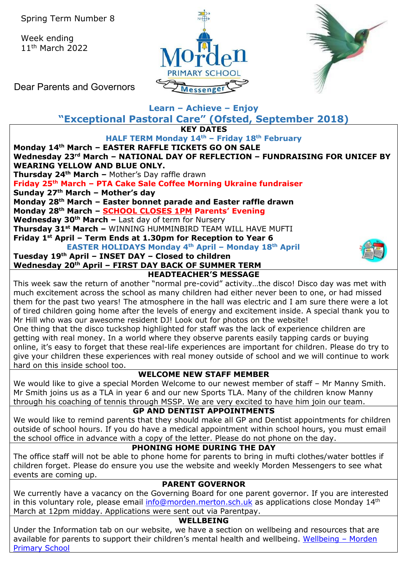Week ending 11th March 2022





Dear Parents and Governors

#### **Learn – Achieve – Enjoy "Exceptional Pastoral Care" (Ofsted, September 2018) KEY DATES HALF TERM Monday 14th – Friday 18th February Monday 14th March – EASTER RAFFLE TICKETS GO ON SALE Wednesday 23rd March – NATIONAL DAY OF REFLECTION – FUNDRAISING FOR UNICEF BY WEARING YELLOW AND BLUE ONLY. Thursday 24th March –** Mother's Day raffle drawn **Friday 25th March – PTA Cake Sale Coffee Morning Ukraine fundraiser Sunday 27th March – Mother's day Monday 28th March – Easter bonnet parade and Easter raffle drawn Monday 28th March – SCHOOL CLOSES 1PM Parents' Evening Wednesday 30th March –** Last day of term for Nursery **Thursday 31st March –** WINNING HUMMINBIRD TEAM WILL HAVE MUFTI **Friday 1st April – Term Ends at 1.30pm for Reception to Year 6 EASTER HOLIDAYS Monday 4th April – Monday 18th April Tuesday 19th April – INSET DAY – Closed to children Wednesday 20th April – FIRST DAY BACK OF SUMMER TERM HEADTEACHER'S MESSAGE**  This week saw the return of another "normal pre-covid" activity…the disco! Disco day was met with much excitement across the school as many children had either never been to one, or had missed them for the past two years! The atmosphere in the hall was electric and I am sure there were a lot of tired children going home after the levels of energy and excitement inside. A special thank you to Mr Hill who was our awesome resident DJ! Look out for photos on the website! One thing that the disco tuckshop highlighted for staff was the lack of experience children are getting with real money. In a world where they observe parents easily tapping cards or buying online, it's easy to forget that these real-life experiences are important for children. Please do try to give your children these experiences with real money outside of school and we will continue to work hard on this inside school too. **WELCOME NEW STAFF MEMBER** We would like to give a special Morden Welcome to our newest member of staff - Mr Manny Smith. Mr Smith joins us as a TLA in year 6 and our new Sports TLA. Many of the children know Manny through his coaching of tennis through MSSP. We are very excited to have him join our team. **GP AND DENTIST APPOINTMENTS** We would like to remind parents that they should make all GP and Dentist appointments for children outside of school hours. If you do have a medical appointment within school hours, you must email the school office in advance with a copy of the letter. Please do not phone on the day. **PHONING HOME DURING THE DAY** The office staff will not be able to phone home for parents to bring in mufti clothes/water bottles if children forget. Please do ensure you use the website and weekly Morden Messengers to see what events are coming up. **PARENT GOVERNOR** We currently have a vacancy on the Governing Board for one parent governor. If you are interested in this voluntary role, please email [info@morden.merton.sch.uk](mailto:info@morden.merton.sch.uk) as applications close Monday 14<sup>th</sup> March at 12pm midday. Applications were sent out via Parentpay. **WELLBEING** Under the Information tab on our website, we have a section on wellbeing and resources that are available for parents to support their children's mental health and wellbeing. [Wellbeing –](https://morden.merton.sch.uk/information/wellbeing/) Morden [Primary School](https://morden.merton.sch.uk/information/wellbeing/)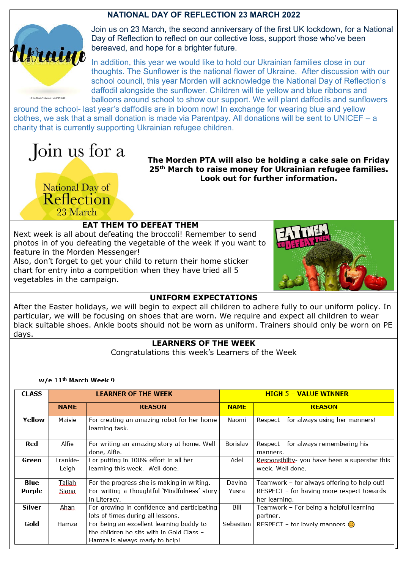## **NATIONAL DAY OF REFLECTION 23 MARCH 2022**



Join us on 23 March, the second anniversary of the first UK lockdown, for a National Day of Reflection to reflect on our collective loss, support those who've been bereaved, and hope for a brighter future.

In addition, this year we would like to hold our Ukrainian families close in our thoughts. The Sunflower is the national flower of Ukraine. After discussion with our school council, this year Morden will acknowledge the National Day of Reflection's daffodil alongside the sunflower. Children will tie yellow and blue ribbons and balloons around school to show our support. We will plant daffodils and sunflowers

around the school- last year's daffodils are in bloom now! In exchange for wearing blue and yellow clothes, we ask that a small donation is made via Parentpay. All donations will be sent to UNICEF – a charity that is currently supporting Ukrainian refugee children.

# Join us for a

National Day of Reflection 23 March

**The Morden PTA will also be holding a cake sale on Friday 25th March to raise money for Ukrainian refugee families. Look out for further information.** 

## **EAT THEM TO DEFEAT THEM**

Next week is all about defeating the broccoli! Remember to send photos in of you defeating the vegetable of the week if you want to feature in the Morden Messenger!

Also, don't forget to get your child to return their home sticker chart for entry into a competition when they have tried all 5 vegetables in the campaign.



#### **UNIFORM EXPECTATIONS**

After the Easter holidays, we will begin to expect all children to adhere fully to our uniform policy. In particular, we will be focusing on shoes that are worn. We require and expect all children to wear black suitable shoes. Ankle boots should not be worn as uniform. Trainers should only be worn on PE days.

#### **LEARNERS OF THE WEEK**

Congratulations this week's Learners of the Week

#### w/e 11<sup>th</sup> March Week 9

| <b>CLASS</b>  | <b>LEARNER OF THE WEEK</b> |                                                              | <b>HIGH 5 - VALUE WINNER</b> |                                                  |
|---------------|----------------------------|--------------------------------------------------------------|------------------------------|--------------------------------------------------|
|               | <b>NAME</b>                | <b>REASON</b>                                                | <b>NAME</b>                  | <b>REASON</b>                                    |
| Yellow        | Maisie                     | For creating an amazing robot for her home<br>learning task. | Naomi                        | Respect - for always using her manners!          |
| Red           | Alfie                      | For writing an amazing story at home. Well<br>done, Alfie.   | Borislav                     | Respect - for always remembering his<br>manners. |
| Green         | Frankie-                   | For putting in 100% effort in all her                        | Adel                         | Responsibilty- you have been a superstar this    |
|               | Leigh                      | learning this week. Well done.                               |                              | week. Well done.                                 |
| Blue          | Taliah.                    | For the progress she is making in writing.                   | Davina                       | Teamwork - for always offering to help out!      |
| Purple        | Siana                      | For writing a thoughtful 'Mindfulness' story                 | Yusra                        | RESPECT - for having more respect towards        |
|               |                            | in Literacy.                                                 |                              | her learning.                                    |
| <b>Silver</b> | Ahan                       | For growing in confidence and participating                  | Bill                         | Teamwork - For being a helpful learning          |
|               |                            | lots of times during all lessons.                            |                              | partner.                                         |
| Gold          | Hamza                      | For being an excellent learning buddy to                     | Sebastian                    | RESPECT – for lovely manners $\odot$             |
|               |                            | the children he sits with in Gold Class -                    |                              |                                                  |
|               |                            | Hamza is always ready to help!                               |                              |                                                  |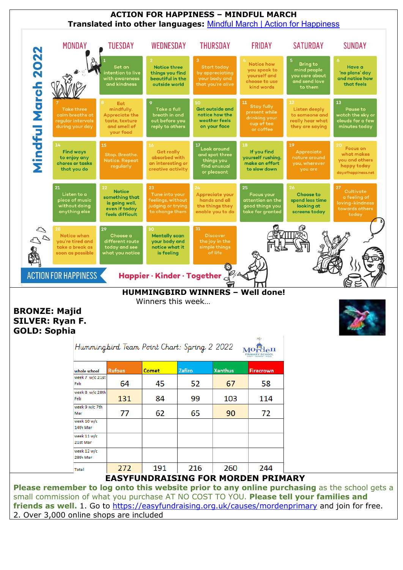

## **EASYFUNDRAISING FOR MORDEN PRIMARY**

260

244

216

191

272

28th Mar

Total

**Please remember to log onto this website prior to any online purchasing** as the school gets a small commission of what you purchase AT NO COST TO YOU. **Please tell your families and**  friends as well. 1. Go to<https://easyfundraising.org.uk/causes/mordenprimary> and join for free. 2. Over 3,000 online shops are included